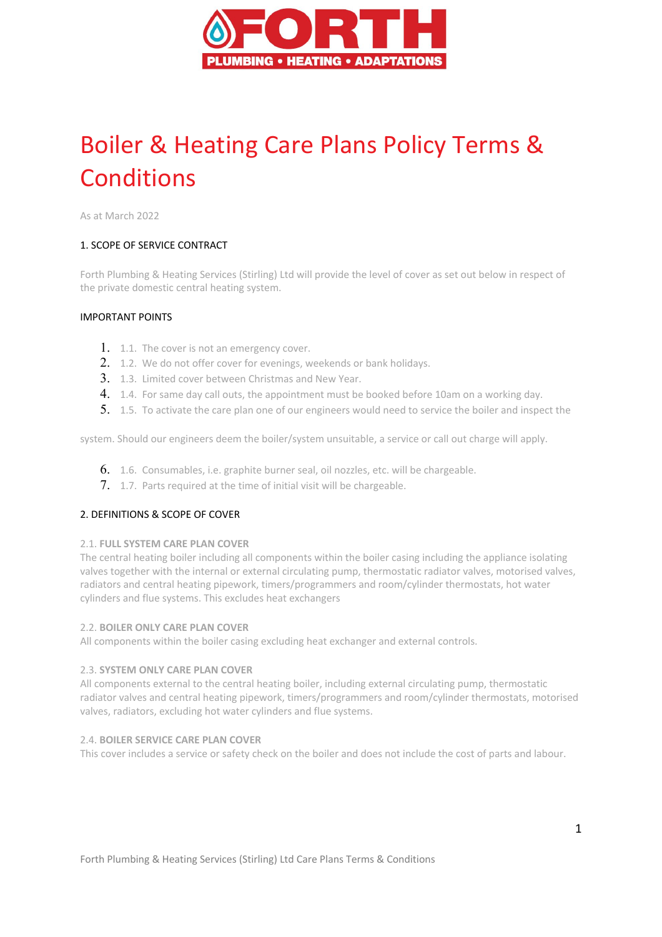

# Boiler & Heating Care Plans Policy Terms & **Conditions**

As at March 2022

## 1. SCOPE OF SERVICE CONTRACT

Forth Plumbing & Heating Services (Stirling) Ltd will provide the level of cover as set out below in respect of the private domestic central heating system.

## IMPORTANT POINTS

- 1. 1.1. The cover is not an emergency cover.
- 2. 1.2. We do not offer cover for evenings, weekends or bank holidays.
- 3. 1.3. Limited cover between Christmas and New Year.
- 4. 1.4. For same day call outs, the appointment must be booked before 10am on a working day.
- 5. 1.5. To activate the care plan one of our engineers would need to service the boiler and inspect the

system. Should our engineers deem the boiler/system unsuitable, a service or call out charge will apply.

- 6. 1.6. Consumables, i.e. graphite burner seal, oil nozzles, etc. will be chargeable.
- 7. 1.7. Parts required at the time of initial visit will be chargeable.

## 2. DEFINITIONS & SCOPE OF COVER

#### 2.1. **FULL SYSTEM CARE PLAN COVER**

The central heating boiler including all components within the boiler casing including the appliance isolating valves together with the internal or external circulating pump, thermostatic radiator valves, motorised valves, radiators and central heating pipework, timers/programmers and room/cylinder thermostats, hot water cylinders and flue systems. This excludes heat exchangers

#### 2.2. **BOILER ONLY CARE PLAN COVER**

All components within the boiler casing excluding heat exchanger and external controls.

#### 2.3. **SYSTEM ONLY CARE PLAN COVER**

All components external to the central heating boiler, including external circulating pump, thermostatic radiator valves and central heating pipework, timers/programmers and room/cylinder thermostats, motorised valves, radiators, excluding hot water cylinders and flue systems.

#### 2.4. **BOILER SERVICE CARE PLAN COVER**

This cover includes a service or safety check on the boiler and does not include the cost of parts and labour.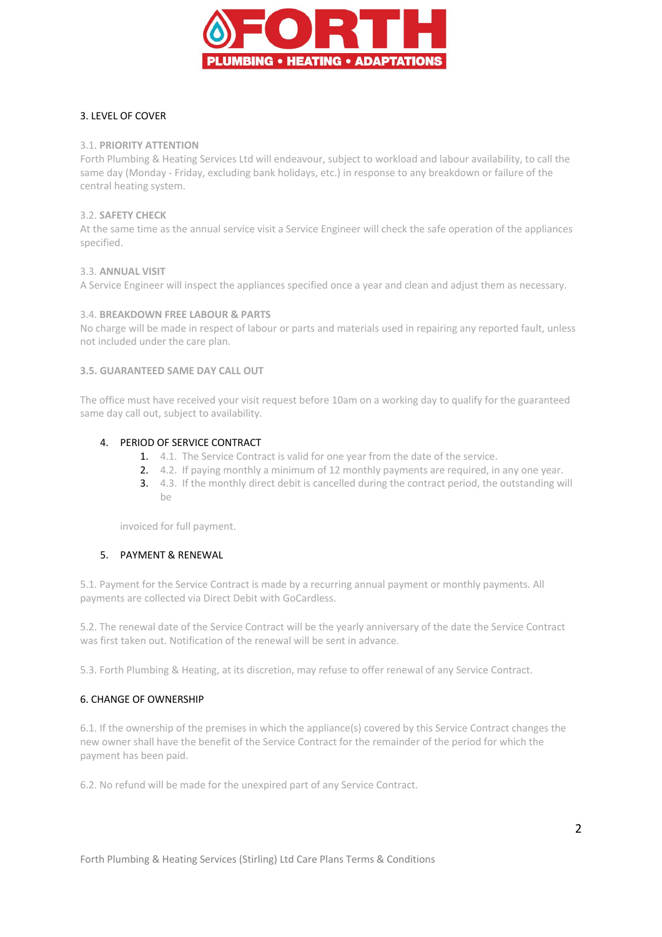

# 3. LEVEL OF COVER

## 3.1. **PRIORITY ATTENTION**

Forth Plumbing & Heating Services Ltd will endeavour, subject to workload and labour availability, to call the same day (Monday - Friday, excluding bank holidays, etc.) in response to any breakdown or failure of the central heating system.

## 3.2. **SAFETY CHECK**

At the same time as the annual service visit a Service Engineer will check the safe operation of the appliances specified.

#### 3.3. **ANNUAL VISIT**

A Service Engineer will inspect the appliances specified once a year and clean and adjust them as necessary.

#### 3.4. **BREAKDOWN FREE LABOUR & PARTS**

No charge will be made in respect of labour or parts and materials used in repairing any reported fault, unless not included under the care plan.

#### **3.5. GUARANTEED SAME DAY CALL OUT**

The office must have received your visit request before 10am on a working day to qualify for the guaranteed same day call out, subject to availability.

## 4. PERIOD OF SERVICE CONTRACT

- 1. 4.1. The Service Contract is valid for one year from the date of the service.
- 2. 4.2. If paying monthly a minimum of 12 monthly payments are required, in any one year.
- 3. 4.3. If the monthly direct debit is cancelled during the contract period, the outstanding will  $h$ e

invoiced for full payment.

## 5. PAYMENT & RENEWAL

5.1. Payment for the Service Contract is made by a recurring annual payment or monthly payments. All payments are collected via Direct Debit with GoCardless.

5.2. The renewal date of the Service Contract will be the yearly anniversary of the date the Service Contract was first taken out. Notification of the renewal will be sent in advance.

5.3. Forth Plumbing & Heating, at its discretion, may refuse to offer renewal of any Service Contract.

## 6. CHANGE OF OWNERSHIP

6.1. If the ownership of the premises in which the appliance(s) covered by this Service Contract changes the new owner shall have the benefit of the Service Contract for the remainder of the period for which the payment has been paid.

6.2. No refund will be made for the unexpired part of any Service Contract.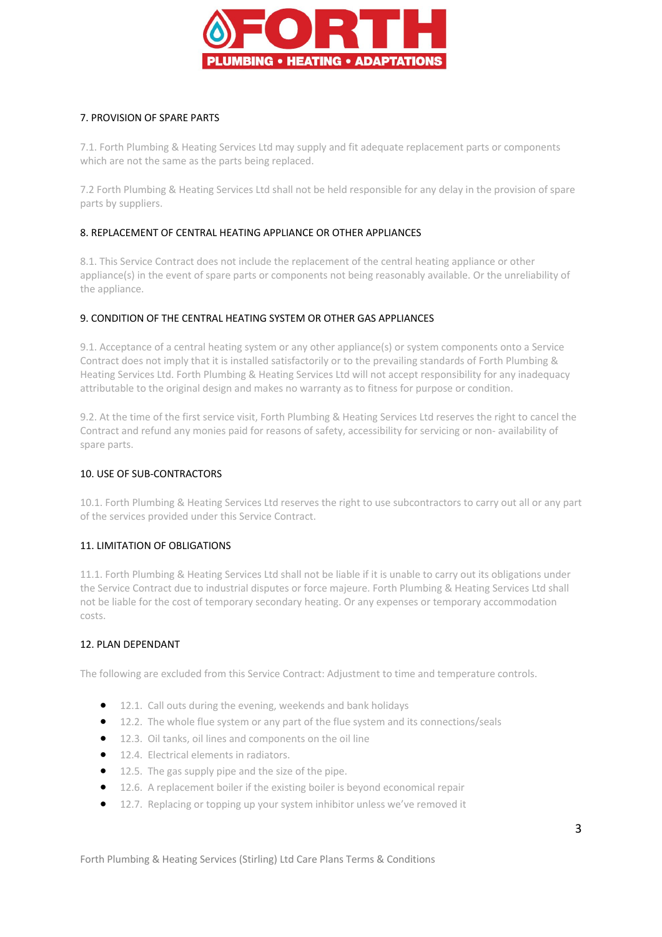

# 7. PROVISION OF SPARE PARTS

7.1. Forth Plumbing & Heating Services Ltd may supply and fit adequate replacement parts or components which are not the same as the parts being replaced.

7.2 Forth Plumbing & Heating Services Ltd shall not be held responsible for any delay in the provision of spare parts by suppliers.

# 8. REPLACEMENT OF CENTRAL HEATING APPLIANCE OR OTHER APPLIANCES

8.1. This Service Contract does not include the replacement of the central heating appliance or other appliance(s) in the event of spare parts or components not being reasonably available. Or the unreliability of the appliance.

## 9. CONDITION OF THE CENTRAL HEATING SYSTEM OR OTHER GAS APPLIANCES

9.1. Acceptance of a central heating system or any other appliance(s) or system components onto a Service Contract does not imply that it is installed satisfactorily or to the prevailing standards of Forth Plumbing & Heating Services Ltd. Forth Plumbing & Heating Services Ltd will not accept responsibility for any inadequacy attributable to the original design and makes no warranty as to fitness for purpose or condition.

9.2. At the time of the first service visit, Forth Plumbing & Heating Services Ltd reserves the right to cancel the Contract and refund any monies paid for reasons of safety, accessibility for servicing or non- availability of spare parts.

# 10. USE OF SUB-CONTRACTORS

10.1. Forth Plumbing & Heating Services Ltd reserves the right to use subcontractors to carry out all or any part of the services provided under this Service Contract.

## 11. LIMITATION OF OBLIGATIONS

11.1. Forth Plumbing & Heating Services Ltd shall not be liable if it is unable to carry out its obligations under the Service Contract due to industrial disputes or force majeure. Forth Plumbing & Heating Services Ltd shall not be liable for the cost of temporary secondary heating. Or any expenses or temporary accommodation costs.

## 12. PLAN DEPENDANT

The following are excluded from this Service Contract: Adjustment to time and temperature controls.

- 12.1. Call outs during the evening, weekends and bank holidays
- 12.2. The whole flue system or any part of the flue system and its connections/seals
- 12.3. Oil tanks, oil lines and components on the oil line
- **•** 12.4. Electrical elements in radiators.
- 12.5. The gas supply pipe and the size of the pipe.
- 12.6. A replacement boiler if the existing boiler is beyond economical repair
- 12.7. Replacing or topping up your system inhibitor unless we've removed it

Forth Plumbing & Heating Services (Stirling) Ltd Care Plans Terms & Conditions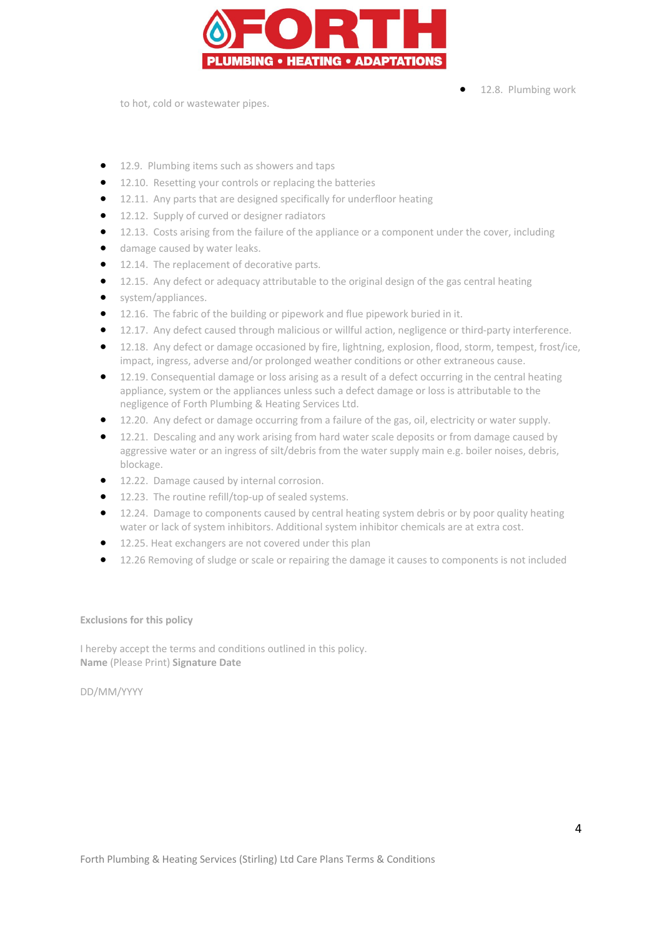

12.8. Plumbing work

to hot, cold or wastewater pipes.

- 12.9. Plumbing items such as showers and taps
- 12.10. Resetting your controls or replacing the batteries
- 12.11. Any parts that are designed specifically for underfloor heating
- 12.12. Supply of curved or designer radiators
- 12.13. Costs arising from the failure of the appliance or a component under the cover, including
- damage caused by water leaks.
- **12.14.** The replacement of decorative parts.
- 12.15. Any defect or adequacy attributable to the original design of the gas central heating
- system/appliances.
- 12.16. The fabric of the building or pipework and flue pipework buried in it.
- 12.17. Any defect caused through malicious or willful action, negligence or third-party interference.
- 12.18. Any defect or damage occasioned by fire, lightning, explosion, flood, storm, tempest, frost/ice, impact, ingress, adverse and/or prolonged weather conditions or other extraneous cause.
- 12.19. Consequential damage or loss arising as a result of a defect occurring in the central heating appliance, system or the appliances unless such a defect damage or loss is attributable to the negligence of Forth Plumbing & Heating Services Ltd.
- 12.20. Any defect or damage occurring from a failure of the gas, oil, electricity or water supply.
- 12.21. Descaling and any work arising from hard water scale deposits or from damage caused by aggressive water or an ingress of silt/debris from the water supply main e.g. boiler noises, debris, blockage.
- **•** 12.22. Damage caused by internal corrosion.
- 12.23. The routine refill/top-up of sealed systems.
- 12.24. Damage to components caused by central heating system debris or by poor quality heating water or lack of system inhibitors. Additional system inhibitor chemicals are at extra cost.
- 12.25. Heat exchangers are not covered under this plan
- 12.26 Removing of sludge or scale or repairing the damage it causes to components is not included

#### **Exclusions for this policy**

I hereby accept the terms and conditions outlined in this policy. **Name** (Please Print) **Signature Date** 

DD/MM/YYYY